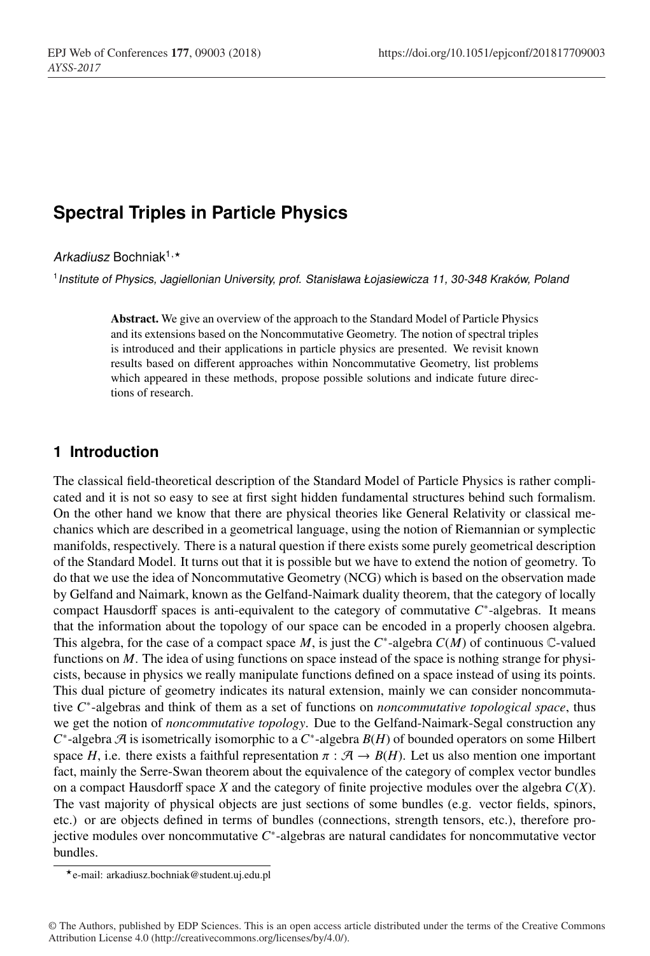# **Spectral Triples in Particle Physics**

#### Arkadiusz Bochniak<sup>1,\*</sup>

<sup>1</sup>*Institute of Physics, Jagiellonian University, prof. Stanisława Łojasiewicza 11, 30-348 Kraków, Poland*

Abstract. We give an overview of the approach to the Standard Model of Particle Physics and its extensions based on the Noncommutative Geometry. The notion of spectral triples is introduced and their applications in particle physics are presented. We revisit known results based on different approaches within Noncommutative Geometry, list problems which appeared in these methods, propose possible solutions and indicate future directions of research.

### **1 Introduction**

The classical field-theoretical description of the Standard Model of Particle Physics is rather complicated and it is not so easy to see at first sight hidden fundamental structures behind such formalism. On the other hand we know that there are physical theories like General Relativity or classical mechanics which are described in a geometrical language, using the notion of Riemannian or symplectic manifolds, respectively. There is a natural question if there exists some purely geometrical description of the Standard Model. It turns out that it is possible but we have to extend the notion of geometry. To do that we use the idea of Noncommutative Geometry (NCG) which is based on the observation made by Gelfand and Naimark, known as the Gelfand-Naimark duality theorem, that the category of locally compact Hausdorff spaces is anti-equivalent to the category of commutative *C*∗-algebras. It means that the information about the topology of our space can be encoded in a properly choosen algebra. This algebra, for the case of a compact space *M*, is just the *C*∗-algebra *C*(*M*) of continuous C-valued functions on *M*. The idea of using functions on space instead of the space is nothing strange for physicists, because in physics we really manipulate functions defined on a space instead of using its points. This dual picture of geometry indicates its natural extension, mainly we can consider noncommutative *C*∗-algebras and think of them as a set of functions on *noncommutative topological space*, thus we get the notion of *noncommutative topology*. Due to the Gelfand-Naimark-Segal construction any *C*∗-algebra A is isometrically isomorphic to a *C*∗-algebra *B*(*H*) of bounded operators on some Hilbert space *H*, i.e. there exists a faithful representation  $\pi : \mathcal{A} \to B(H)$ . Let us also mention one important fact, mainly the Serre-Swan theorem about the equivalence of the category of complex vector bundles on a compact Hausdorff space  $X$  and the category of finite projective modules over the algebra  $C(X)$ . The vast majority of physical objects are just sections of some bundles (e.g. vector fields, spinors, etc.) or are objects defined in terms of bundles (connections, strength tensors, etc.), therefore projective modules over noncommutative *C*∗-algebras are natural candidates for noncommutative vector bundles.

e-mail: arkadiusz.bochniak@student.uj.edu.pl

<sup>©</sup> The Authors, published by EDP Sciences. This is an open access article distributed under the terms of the Creative Commons Attribution License 4.0 (http://creativecommons.org/licenses/by/4.0/).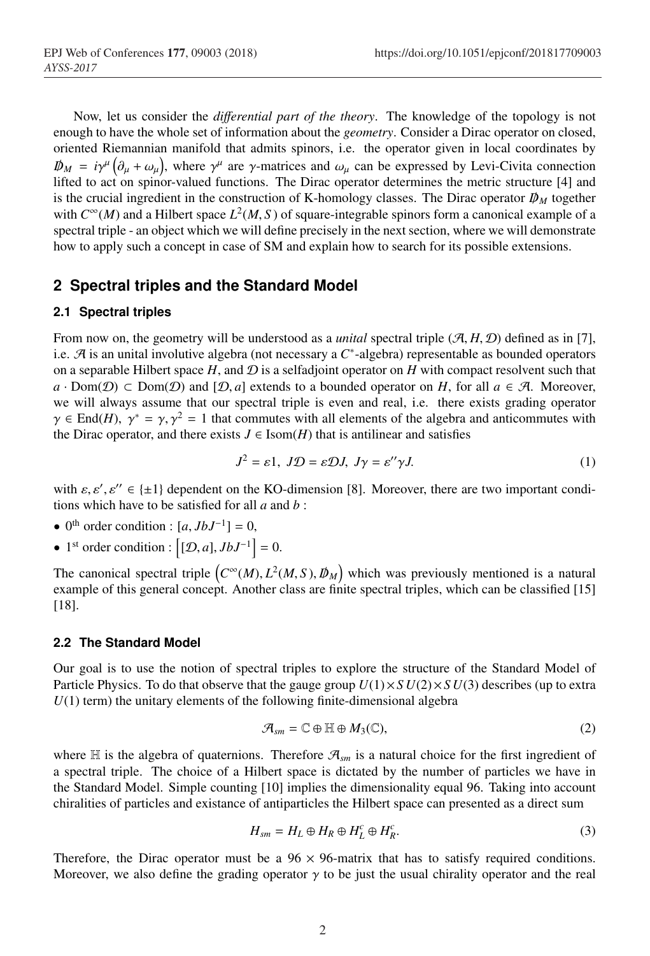Now, let us consider the *di*ff*erential part of the theory*. The knowledge of the topology is not enough to have the whole set of information about the *geometry*. Consider a Dirac operator on closed, oriented Riemannian manifold that admits spinors, i.e. the operator given in local coordinates by  $D\!\!\!\!/ \rho_M = i\gamma^\mu \left( \partial_\mu + \omega_\mu \right)$ , where  $\gamma^\mu$  are  $\gamma$ -matrices and  $\omega_\mu$  can be expressed by Levi-Civita connection lifted to act on spinor-valued functions. The Dirac operator determines the metric structure [4] and is the crucial ingredient in the construction of K-homology classes. The Dirac operator  $D<sub>M</sub>$  together with  $C^{\infty}(M)$  and a Hilbert space  $L^2(M, S)$  of square-integrable spinors form a canonical example of a spectral triple - an object which we will define precisely in the next section, where we will demonstrate how to apply such a concept in case of SM and explain how to search for its possible extensions.

### **2 Spectral triples and the Standard Model**

#### **2.1 Spectral triples**

From now on, the geometry will be understood as a *unital* spectral triple  $(A, H, D)$  defined as in [7], i.e. A is an unital involutive algebra (not necessary a *C*∗-algebra) representable as bounded operators on a separable Hilbert space  $H$ , and  $D$  is a selfadjoint operator on  $H$  with compact resolvent such that  $a \cdot \text{Dom}(\mathcal{D}) \subset \text{Dom}(\mathcal{D})$  and  $[\mathcal{D}, a]$  extends to a bounded operator on *H*, for all  $a \in \mathcal{A}$ . Moreover, we will always assume that our spectral triple is even and real, i.e. there exists grading operator  $\gamma \in End(H)$ ,  $\gamma^* = \gamma$ ,  $\gamma^2 = 1$  that commutes with all elements of the algebra and anticommutes with the Dirac operator, and there exists  $J \in \text{Isom}(H)$  that is antilinear and satisfies

$$
J^2 = \varepsilon 1, \ J\mathcal{D} = \varepsilon \mathcal{D}J, \ J\gamma = \varepsilon^{\prime\prime}\gamma J. \tag{1}
$$

with  $\varepsilon, \varepsilon', \varepsilon'' \in \{\pm 1\}$  dependent on the KO-dimension [8]. Moreover, there are two important conditions which have to be satisfied for all *a* and *b* :

- $0^{th}$  order condition :  $[a, JbJ^{-1}] = 0$ ,
- 1<sup>st</sup> order condition :  $[(\mathcal{D}, a], JbJ^{-1}] = 0.$

The canonical spectral triple  $(C^{\infty}(M), L^2(M, S), \mathcal{D}_M)$  which was previously mentioned is a natural example of this general concept. Another class are finite spectral triples, which can be classified [15] [18].

#### **2.2 The Standard Model**

Our goal is to use the notion of spectral triples to explore the structure of the Standard Model of Particle Physics. To do that observe that the gauge group  $U(1) \times SU(2) \times SU(3)$  describes (up to extra  $U(1)$  term) the unitary elements of the following finite-dimensional algebra

$$
\mathcal{A}_{sm} = \mathbb{C} \oplus \mathbb{H} \oplus M_3(\mathbb{C}),\tag{2}
$$

where  $\mathbb H$  is the algebra of quaternions. Therefore  $\mathcal{A}_{sm}$  is a natural choice for the first ingredient of a spectral triple. The choice of a Hilbert space is dictated by the number of particles we have in the Standard Model. Simple counting [10] implies the dimensionality equal 96. Taking into account chiralities of particles and existance of antiparticles the Hilbert space can presented as a direct sum

$$
H_{sm} = H_L \oplus H_R \oplus H_L^c \oplus H_R^c. \tag{3}
$$

Therefore, the Dirac operator must be a  $96 \times 96$ -matrix that has to satisfy required conditions. Moreover, we also define the grading operator  $\gamma$  to be just the usual chirality operator and the real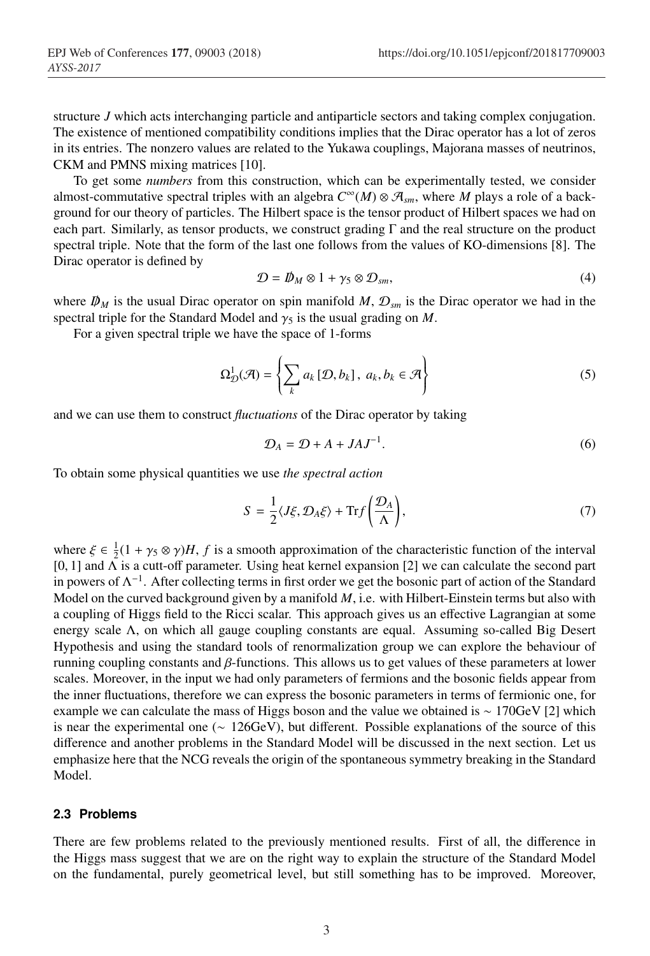structure *J* which acts interchanging particle and antiparticle sectors and taking complex conjugation. The existence of mentioned compatibility conditions implies that the Dirac operator has a lot of zeros in its entries. The nonzero values are related to the Yukawa couplings, Majorana masses of neutrinos, CKM and PMNS mixing matrices [10].

To get some *numbers* from this construction, which can be experimentally tested, we consider almost-commutative spectral triples with an algebra  $C^{\infty}(M) \otimes \mathcal{A}_{sm}$ , where *M* plays a role of a background for our theory of particles. The Hilbert space is the tensor product of Hilbert spaces we had on each part. Similarly, as tensor products, we construct grading  $\Gamma$  and the real structure on the product spectral triple. Note that the form of the last one follows from the values of KO-dimensions [8]. The Dirac operator is defined by

$$
\mathcal{D} = \mathcal{D}_M \otimes 1 + \gamma_5 \otimes \mathcal{D}_{sm},\tag{4}
$$

where  $D_M$  is the usual Dirac operator on spin manifold M,  $D_{\text{sym}}$  is the Dirac operator we had in the spectral triple for the Standard Model and  $\gamma_5$  is the usual grading on *M*.

For a given spectral triple we have the space of 1-forms

$$
\Omega_{\mathcal{D}}^1(\mathcal{A}) = \left\{ \sum_k a_k \left[ \mathcal{D}, b_k \right], \ a_k, b_k \in \mathcal{A} \right\}
$$
 (5)

and we can use them to construct *fluctuations* of the Dirac operator by taking

$$
\mathcal{D}_A = \mathcal{D} + A + JAJ^{-1}.\tag{6}
$$

To obtain some physical quantities we use *the spectral action*

$$
S = \frac{1}{2} \langle J\xi, \mathcal{D}_A \xi \rangle + \text{Tr} f\left(\frac{\mathcal{D}_A}{\Lambda}\right),\tag{7}
$$

where  $\xi \in \frac{1}{2}(1 + \gamma_5 \otimes \gamma)H$ , *f* is a smooth approximation of the characteristic function of the interval [0, 1] and  $\overline{\Lambda}$  is a cutt-off parameter. Using heat kernel expansion [2] we can calculate the second part in powers of  $\Lambda^{-1}$ . After collecting terms in first order we get the bosonic part of action of the Standard Model on the curved background given by a manifold *M*, i.e. with Hilbert-Einstein terms but also with a coupling of Higgs field to the Ricci scalar. This approach gives us an effective Lagrangian at some energy scale Λ, on which all gauge coupling constants are equal. Assuming so-called Big Desert Hypothesis and using the standard tools of renormalization group we can explore the behaviour of running coupling constants and β-functions. This allows us to get values of these parameters at lower scales. Moreover, in the input we had only parameters of fermions and the bosonic fields appear from the inner fluctuations, therefore we can express the bosonic parameters in terms of fermionic one, for example we can calculate the mass of Higgs boson and the value we obtained is ∼ 170GeV [2] which is near the experimental one (∼ 126GeV), but different. Possible explanations of the source of this difference and another problems in the Standard Model will be discussed in the next section. Let us emphasize here that the NCG reveals the origin of the spontaneous symmetry breaking in the Standard Model.

#### **2.3 Problems**

There are few problems related to the previously mentioned results. First of all, the difference in the Higgs mass suggest that we are on the right way to explain the structure of the Standard Model on the fundamental, purely geometrical level, but still something has to be improved. Moreover,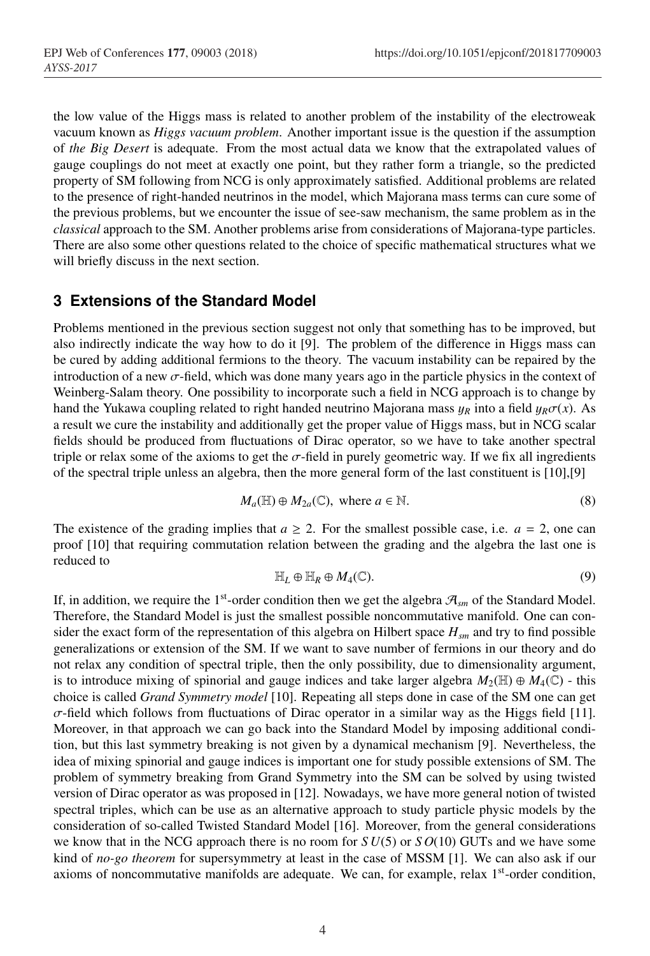the low value of the Higgs mass is related to another problem of the instability of the electroweak vacuum known as *Higgs vacuum problem*. Another important issue is the question if the assumption of *the Big Desert* is adequate. From the most actual data we know that the extrapolated values of gauge couplings do not meet at exactly one point, but they rather form a triangle, so the predicted property of SM following from NCG is only approximately satisfied. Additional problems are related to the presence of right-handed neutrinos in the model, which Majorana mass terms can cure some of the previous problems, but we encounter the issue of see-saw mechanism, the same problem as in the *classical* approach to the SM. Another problems arise from considerations of Majorana-type particles. There are also some other questions related to the choice of specific mathematical structures what we will briefly discuss in the next section.

### **3 Extensions of the Standard Model**

Problems mentioned in the previous section suggest not only that something has to be improved, but also indirectly indicate the way how to do it [9]. The problem of the difference in Higgs mass can be cured by adding additional fermions to the theory. The vacuum instability can be repaired by the introduction of a new  $\sigma$ -field, which was done many years ago in the particle physics in the context of Weinberg-Salam theory. One possibility to incorporate such a field in NCG approach is to change by hand the Yukawa coupling related to right handed neutrino Majorana mass  $y_R$  into a field  $y_R\sigma(x)$ . As a result we cure the instability and additionally get the proper value of Higgs mass, but in NCG scalar fields should be produced from fluctuations of Dirac operator, so we have to take another spectral triple or relax some of the axioms to get the  $\sigma$ -field in purely geometric way. If we fix all ingredients of the spectral triple unless an algebra, then the more general form of the last constituent is [10],[9]

$$
M_a(\mathbb{H}) \oplus M_{2a}(\mathbb{C}), \text{ where } a \in \mathbb{N}.
$$
 (8)

The existence of the grading implies that  $a \geq 2$ . For the smallest possible case, i.e.  $a = 2$ , one can proof [10] that requiring commutation relation between the grading and the algebra the last one is reduced to

$$
\mathbb{H}_L \oplus \mathbb{H}_R \oplus M_4(\mathbb{C}). \tag{9}
$$

If, in addition, we require the 1<sup>st</sup>-order condition then we get the algebra  $\mathcal{A}_{sm}$  of the Standard Model. Therefore, the Standard Model is just the smallest possible noncommutative manifold. One can consider the exact form of the representation of this algebra on Hilbert space *Hsm* and try to find possible generalizations or extension of the SM. If we want to save number of fermions in our theory and do not relax any condition of spectral triple, then the only possibility, due to dimensionality argument, is to introduce mixing of spinorial and gauge indices and take larger algebra  $M_2(\mathbb{H}) \oplus M_4(\mathbb{C})$  - this choice is called *Grand Symmetry model* [10]. Repeating all steps done in case of the SM one can get  $\sigma$ -field which follows from fluctuations of Dirac operator in a similar way as the Higgs field [11]. Moreover, in that approach we can go back into the Standard Model by imposing additional condition, but this last symmetry breaking is not given by a dynamical mechanism [9]. Nevertheless, the idea of mixing spinorial and gauge indices is important one for study possible extensions of SM. The problem of symmetry breaking from Grand Symmetry into the SM can be solved by using twisted version of Dirac operator as was proposed in [12]. Nowadays, we have more general notion of twisted spectral triples, which can be use as an alternative approach to study particle physic models by the consideration of so-called Twisted Standard Model [16]. Moreover, from the general considerations we know that in the NCG approach there is no room for  $SU(5)$  or  $SO(10)$  GUTs and we have some kind of *no-go theorem* for supersymmetry at least in the case of MSSM [1]. We can also ask if our axioms of noncommutative manifolds are adequate. We can, for example, relax 1st-order condition,